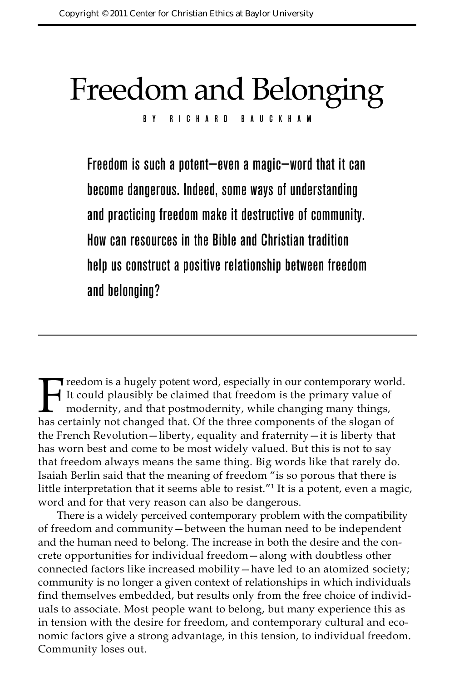# Freedom and Belonging BY RICHARD BAUCKH

Freedom is such a potent—even a magic—word that it can become dangerous. Indeed, some ways of understanding and practicing freedom make it destructive of community. How can resources in the Bible and Christian tradition help us construct a positive relationship between freedom and belonging?

**T** reedom is a hugely potent word, especially in our contemporary world. It could plausibly be claimed that freedom is the primary value of modernity, and that postmodernity, while changing many things, has certainly not changed that. Of the three components of the slogan of the French Revolution—liberty, equality and fraternity—it is liberty that has worn best and come to be most widely valued. But this is not to say that freedom always means the same thing. Big words like that rarely do. Isaiah Berlin said that the meaning of freedom "is so porous that there is little interpretation that it seems able to resist."1 It is a potent, even a magic, word and for that very reason can also be dangerous.

There is a widely perceived contemporary problem with the compatibility of freedom and community—between the human need to be independent and the human need to belong. The increase in both the desire and the concrete opportunities for individual freedom—along with doubtless other connected factors like increased mobility—have led to an atomized society; community is no longer a given context of relationships in which individuals find themselves embedded, but results only from the free choice of individuals to associate. Most people want to belong, but many experience this as in tension with the desire for freedom, and contemporary cultural and economic factors give a strong advantage, in this tension, to individual freedom. Community loses out.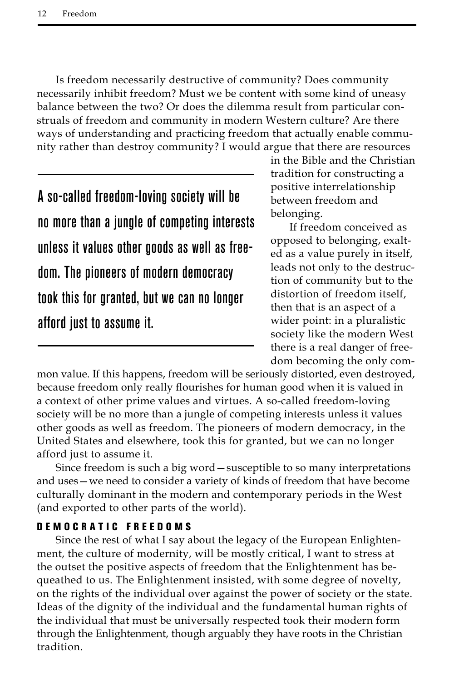Is freedom necessarily destructive of community? Does community necessarily inhibit freedom? Must we be content with some kind of uneasy balance between the two? Or does the dilemma result from particular construals of freedom and community in modern Western culture? Are there ways of understanding and practicing freedom that actually enable community rather than destroy community? I would argue that there are resources

A so-called freedom-loving society will be no more than a jungle of competing interests unless it values other goods as well as freedom. The pioneers of modern democracy took this for granted, but we can no longer afford just to assume it.

in the Bible and the Christian tradition for constructing a positive interrelationship between freedom and belonging.

If freedom conceived as opposed to belonging, exalted as a value purely in itself, leads not only to the destruction of community but to the distortion of freedom itself, then that is an aspect of a wider point: in a pluralistic society like the modern West there is a real danger of freedom becoming the only com-

mon value. If this happens, freedom will be seriously distorted, even destroyed, because freedom only really flourishes for human good when it is valued in a context of other prime values and virtues. A so-called freedom-loving society will be no more than a jungle of competing interests unless it values other goods as well as freedom. The pioneers of modern democracy, in the United States and elsewhere, took this for granted, but we can no longer afford just to assume it.

Since freedom is such a big word—susceptible to so many interpretations and uses—we need to consider a variety of kinds of freedom that have become culturally dominant in the modern and contemporary periods in the West (and exported to other parts of the world).

## DEMOCRATIC FREEDOMS

Since the rest of what I say about the legacy of the European Enlightenment, the culture of modernity, will be mostly critical, I want to stress at the outset the positive aspects of freedom that the Enlightenment has bequeathed to us. The Enlightenment insisted, with some degree of novelty, on the rights of the individual over against the power of society or the state. Ideas of the dignity of the individual and the fundamental human rights of the individual that must be universally respected took their modern form through the Enlightenment, though arguably they have roots in the Christian tradition.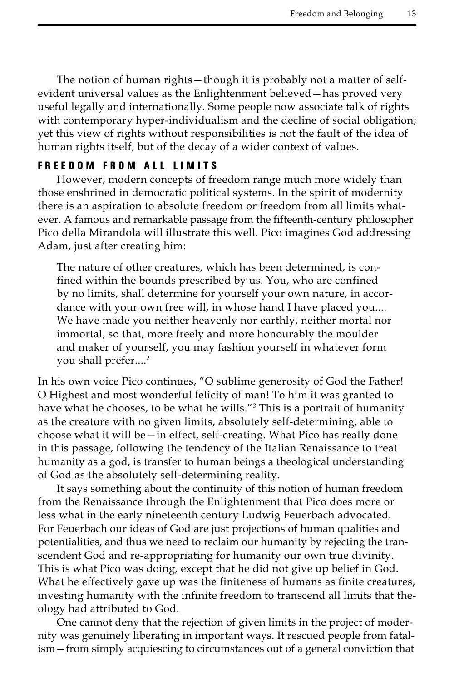The notion of human rights—though it is probably not a matter of selfevident universal values as the Enlightenment believed—has proved very useful legally and internationally. Some people now associate talk of rights with contemporary hyper-individualism and the decline of social obligation; yet this view of rights without responsibilities is not the fault of the idea of human rights itself, but of the decay of a wider context of values.

## F ree d om from all limits

However, modern concepts of freedom range much more widely than those enshrined in democratic political systems. In the spirit of modernity there is an aspiration to absolute freedom or freedom from all limits whatever. A famous and remarkable passage from the fifteenth-century philosopher Pico della Mirandola will illustrate this well. Pico imagines God addressing Adam, just after creating him:

The nature of other creatures, which has been determined, is confined within the bounds prescribed by us. You, who are confined by no limits, shall determine for yourself your own nature, in accordance with your own free will, in whose hand I have placed you.... We have made you neither heavenly nor earthly, neither mortal nor immortal, so that, more freely and more honourably the moulder and maker of yourself, you may fashion yourself in whatever form you shall prefer....<sup>2</sup>

In his own voice Pico continues, "O sublime generosity of God the Father! O Highest and most wonderful felicity of man! To him it was granted to have what he chooses, to be what he wills."3 This is a portrait of humanity as the creature with no given limits, absolutely self-determining, able to choose what it will be—in effect, self-creating. What Pico has really done in this passage, following the tendency of the Italian Renaissance to treat humanity as a god, is transfer to human beings a theological understanding of God as the absolutely self-determining reality.

It says something about the continuity of this notion of human freedom from the Renaissance through the Enlightenment that Pico does more or less what in the early nineteenth century Ludwig Feuerbach advocated. For Feuerbach our ideas of God are just projections of human qualities and potentialities, and thus we need to reclaim our humanity by rejecting the transcendent God and re-appropriating for humanity our own true divinity. This is what Pico was doing, except that he did not give up belief in God. What he effectively gave up was the finiteness of humans as finite creatures, investing humanity with the infinite freedom to transcend all limits that theology had attributed to God.

One cannot deny that the rejection of given limits in the project of modernity was genuinely liberating in important ways. It rescued people from fatalism—from simply acquiescing to circumstances out of a general conviction that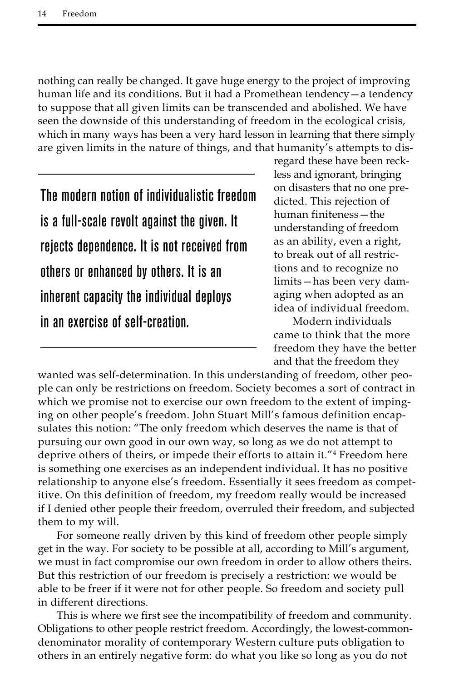nothing can really be changed. It gave huge energy to the project of improving human life and its conditions. But it had a Promethean tendency—a tendency to suppose that all given limits can be transcended and abolished. We have seen the downside of this understanding of freedom in the ecological crisis, which in many ways has been a very hard lesson in learning that there simply are given limits in the nature of things, and that humanity's attempts to dis-

The modern notion of individualistic freedom is a full-scale revolt against the given. It rejects dependence. It is not received from others or enhanced by others. It is an inherent capacity the individual deploys in an exercise of self-creation.

regard these have been reckless and ignorant, bringing on disasters that no one predicted. This rejection of human finiteness—the understanding of freedom as an ability, even a right, to break out of all restrictions and to recognize no limits—has been very damaging when adopted as an idea of individual freedom.

Modern individuals came to think that the more freedom they have the better and that the freedom they

wanted was self-determination. In this understanding of freedom, other people can only be restrictions on freedom. Society becomes a sort of contract in which we promise not to exercise our own freedom to the extent of impinging on other people's freedom. John Stuart Mill's famous definition encapsulates this notion: "The only freedom which deserves the name is that of pursuing our own good in our own way, so long as we do not attempt to deprive others of theirs, or impede their efforts to attain it."4 Freedom here is something one exercises as an independent individual. It has no positive relationship to anyone else's freedom. Essentially it sees freedom as competitive. On this definition of freedom, my freedom really would be increased if I denied other people their freedom, overruled their freedom, and subjected them to my will.

For someone really driven by this kind of freedom other people simply get in the way. For society to be possible at all, according to Mill's argument, we must in fact compromise our own freedom in order to allow others theirs. But this restriction of our freedom is precisely a restriction: we would be able to be freer if it were not for other people. So freedom and society pull in different directions.

This is where we first see the incompatibility of freedom and community. Obligations to other people restrict freedom. Accordingly, the lowest-commondenominator morality of contemporary Western culture puts obligation to others in an entirely negative form: do what you like so long as you do not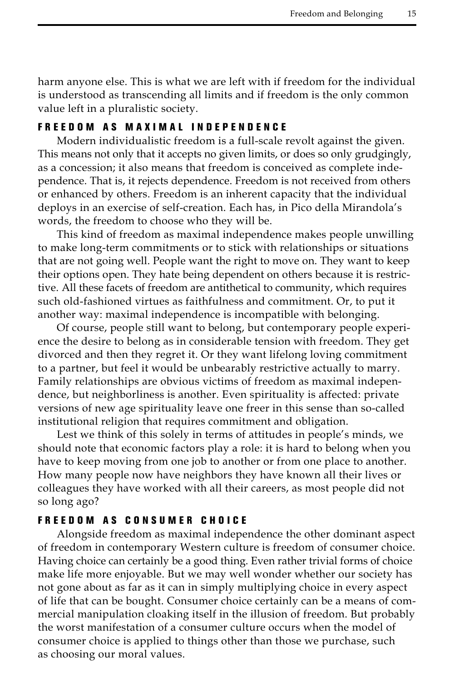harm anyone else. This is what we are left with if freedom for the individual is understood as transcending all limits and if freedom is the only common value left in a pluralistic society.

## FREEDOM AS MAXIMAL INDEPENDENCE

Modern individualistic freedom is a full-scale revolt against the given. This means not only that it accepts no given limits, or does so only grudgingly, as a concession; it also means that freedom is conceived as complete independence. That is, it rejects dependence. Freedom is not received from others or enhanced by others. Freedom is an inherent capacity that the individual deploys in an exercise of self-creation. Each has, in Pico della Mirandola's words, the freedom to choose who they will be.

This kind of freedom as maximal independence makes people unwilling to make long-term commitments or to stick with relationships or situations that are not going well. People want the right to move on. They want to keep their options open. They hate being dependent on others because it is restrictive. All these facets of freedom are antithetical to community, which requires such old-fashioned virtues as faithfulness and commitment. Or, to put it another way: maximal independence is incompatible with belonging.

Of course, people still want to belong, but contemporary people experience the desire to belong as in considerable tension with freedom. They get divorced and then they regret it. Or they want lifelong loving commitment to a partner, but feel it would be unbearably restrictive actually to marry. Family relationships are obvious victims of freedom as maximal independence, but neighborliness is another. Even spirituality is affected: private versions of new age spirituality leave one freer in this sense than so-called institutional religion that requires commitment and obligation.

Lest we think of this solely in terms of attitudes in people's minds, we should note that economic factors play a role: it is hard to belong when you have to keep moving from one job to another or from one place to another. How many people now have neighbors they have known all their lives or colleagues they have worked with all their careers, as most people did not so long ago?

### F ree d om as consumer choice

Alongside freedom as maximal independence the other dominant aspect of freedom in contemporary Western culture is freedom of consumer choice. Having choice can certainly be a good thing. Even rather trivial forms of choice make life more enjoyable. But we may well wonder whether our society has not gone about as far as it can in simply multiplying choice in every aspect of life that can be bought. Consumer choice certainly can be a means of commercial manipulation cloaking itself in the illusion of freedom. But probably the worst manifestation of a consumer culture occurs when the model of consumer choice is applied to things other than those we purchase, such as choosing our moral values.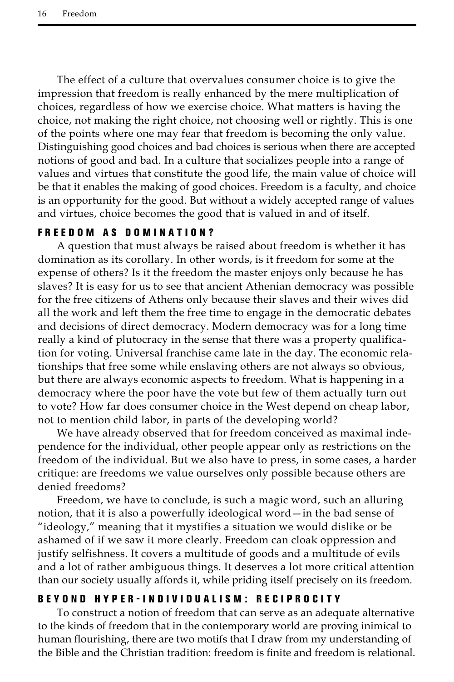The effect of a culture that overvalues consumer choice is to give the impression that freedom is really enhanced by the mere multiplication of choices, regardless of how we exercise choice. What matters is having the choice, not making the right choice, not choosing well or rightly. This is one of the points where one may fear that freedom is becoming the only value. Distinguishing good choices and bad choices is serious when there are accepted notions of good and bad. In a culture that socializes people into a range of values and virtues that constitute the good life, the main value of choice will be that it enables the making of good choices. Freedom is a faculty, and choice is an opportunity for the good. But without a widely accepted range of values and virtues, choice becomes the good that is valued in and of itself.

## FREEDOM AS DOMINATION?

A question that must always be raised about freedom is whether it has domination as its corollary. In other words, is it freedom for some at the expense of others? Is it the freedom the master enjoys only because he has slaves? It is easy for us to see that ancient Athenian democracy was possible for the free citizens of Athens only because their slaves and their wives did all the work and left them the free time to engage in the democratic debates and decisions of direct democracy. Modern democracy was for a long time really a kind of plutocracy in the sense that there was a property qualification for voting. Universal franchise came late in the day. The economic relationships that free some while enslaving others are not always so obvious, but there are always economic aspects to freedom. What is happening in a democracy where the poor have the vote but few of them actually turn out to vote? How far does consumer choice in the West depend on cheap labor, not to mention child labor, in parts of the developing world?

We have already observed that for freedom conceived as maximal independence for the individual, other people appear only as restrictions on the freedom of the individual. But we also have to press, in some cases, a harder critique: are freedoms we value ourselves only possible because others are denied freedoms?

Freedom, we have to conclude, is such a magic word, such an alluring notion, that it is also a powerfully ideological word—in the bad sense of "ideology," meaning that it mystifies a situation we would dislike or be ashamed of if we saw it more clearly. Freedom can cloak oppression and justify selfishness. It covers a multitude of goods and a multitude of evils and a lot of rather ambiguous things. It deserves a lot more critical attention than our society usually affords it, while priding itself precisely on its freedom.

## BEYOND HYPER-INDIVIDUALISM: RECIPROCITY

To construct a notion of freedom that can serve as an adequate alternative to the kinds of freedom that in the contemporary world are proving inimical to human flourishing, there are two motifs that I draw from my understanding of the Bible and the Christian tradition: freedom is finite and freedom is relational.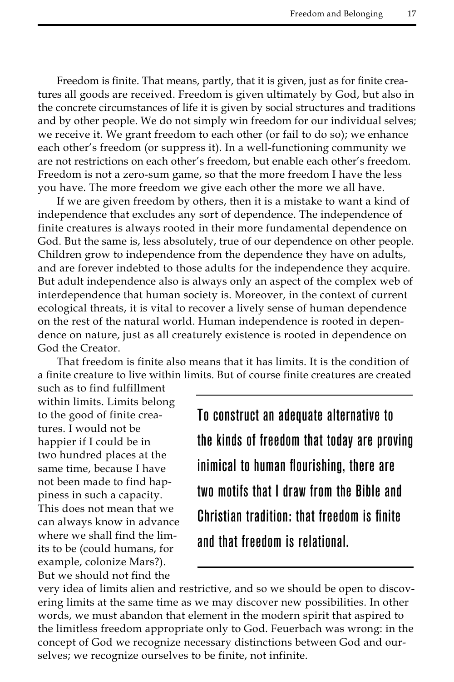Freedom is finite. That means, partly, that it is given, just as for finite creatures all goods are received. Freedom is given ultimately by God, but also in the concrete circumstances of life it is given by social structures and traditions and by other people. We do not simply win freedom for our individual selves; we receive it. We grant freedom to each other (or fail to do so); we enhance each other's freedom (or suppress it). In a well-functioning community we are not restrictions on each other's freedom, but enable each other's freedom. Freedom is not a zero-sum game, so that the more freedom I have the less you have. The more freedom we give each other the more we all have.

If we are given freedom by others, then it is a mistake to want a kind of independence that excludes any sort of dependence. The independence of finite creatures is always rooted in their more fundamental dependence on God. But the same is, less absolutely, true of our dependence on other people. Children grow to independence from the dependence they have on adults, and are forever indebted to those adults for the independence they acquire. But adult independence also is always only an aspect of the complex web of interdependence that human society is. Moreover, in the context of current ecological threats, it is vital to recover a lively sense of human dependence on the rest of the natural world. Human independence is rooted in dependence on nature, just as all creaturely existence is rooted in dependence on God the Creator.

That freedom is finite also means that it has limits. It is the condition of a finite creature to live within limits. But of course finite creatures are created

such as to find fulfillment within limits. Limits belong to the good of finite creatures. I would not be happier if I could be in two hundred places at the same time, because I have not been made to find happiness in such a capacity. This does not mean that we can always know in advance where we shall find the limits to be (could humans, for example, colonize Mars?). But we should not find the

To construct an adequate alternative to the kinds of freedom that today are proving inimical to human flourishing, there are two motifs that I draw from the Bible and Christian tradition: that freedom is finite and that freedom is relational.

very idea of limits alien and restrictive, and so we should be open to discovering limits at the same time as we may discover new possibilities. In other words, we must abandon that element in the modern spirit that aspired to the limitless freedom appropriate only to God. Feuerbach was wrong: in the concept of God we recognize necessary distinctions between God and ourselves; we recognize ourselves to be finite, not infinite.